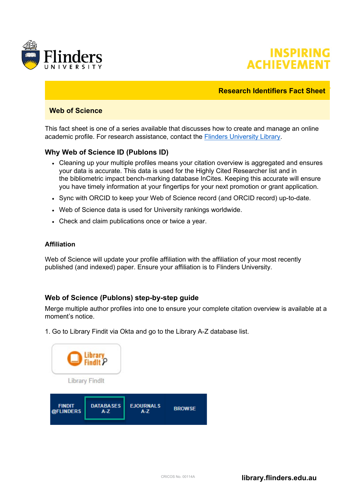



#### **Research Identifiers Fact Sheet**

## **Web of Science**

This fact sheet is one of a series available that discusses how to create and manage an online academic profile. For research assistance, contact the [Flinders University Library.](https://library.flinders.edu.au/researchers)

## **Why Web of Science ID (Publons ID)**

- Cleaning up your multiple profiles means your citation overview is aggregated and ensures your data is accurate. This data is used for the Highly Cited Researcher list and in the bibliometric impact bench-marking database InCites. Keeping this accurate will ensure you have timely information at your fingertips for your next promotion or grant application.
- Sync with ORCID to keep your Web of Science record (and ORCID record) up-to-date.
- Web of Science data is used for University rankings worldwide.
- Check and claim publications once or twice a year.

#### **Affiliation**

Web of Science will update your profile affiliation with the affiliation of your most recently published (and indexed) paper. Ensure your affiliation is to Flinders University.

#### **Web of Science (Publons) step-by-step guide**

Merge multiple author profiles into one to ensure your complete citation overview is available at a moment's notice.

1. Go to Library Findit via Okta and go to the Library A-Z database list.

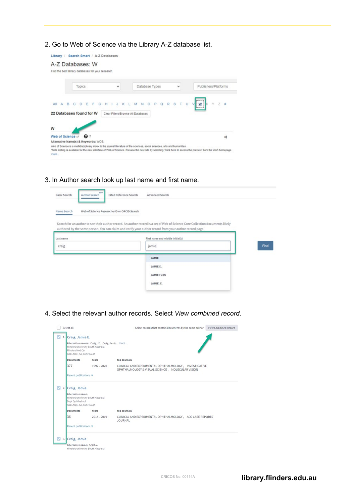2. Go to Web of Science via the Library A-Z database list.

| A-Z Databases: W<br>Find the best library databases for your research.                                                                                                                                                                                                                                  |                                    |                |              |                                                        |
|---------------------------------------------------------------------------------------------------------------------------------------------------------------------------------------------------------------------------------------------------------------------------------------------------------|------------------------------------|----------------|--------------|--------------------------------------------------------|
| Topics                                                                                                                                                                                                                                                                                                  | $\check{}$                         | Database Types | $\checkmark$ | Publishers/Platforms                                   |
| All:<br>A<br>в<br>Ε<br>Ð                                                                                                                                                                                                                                                                                | к                                  |                |              | presence of<br>$V$ $W$<br>v.<br>7 #<br><b>Beanston</b> |
| 22 Databases found for W                                                                                                                                                                                                                                                                                | Clear Filters/Browse All Databases |                |              |                                                        |
| W                                                                                                                                                                                                                                                                                                       |                                    |                |              |                                                        |
| $\mathbf{o}$<br>Web of Science or                                                                                                                                                                                                                                                                       |                                    |                |              | ۰¢                                                     |
| Alternative Name(s) & Keywords: WOS.                                                                                                                                                                                                                                                                    |                                    |                |              |                                                        |
| Web of Science is a multidisciplinary index to the journal literature of the sciences, social sciences, arts and humanities.<br>*Beta testing is available for the new interface of Web of Science. Preview the new site by selecting 'Click here to access the preview' from the WoS homepage.<br>more |                                    |                |              |                                                        |

3. In Author search look up last name and first name.

| <b>Basic Search</b><br>Author Search | Cited Reference Search<br>Advanced Search                                                                                                                                                                                               |      |
|--------------------------------------|-----------------------------------------------------------------------------------------------------------------------------------------------------------------------------------------------------------------------------------------|------|
| Name Search                          | Web of Science ResearcherID or ORCID Search                                                                                                                                                                                             |      |
|                                      | Search for an author to see their author record. An author record is a set of Web of Science Core Collection documents likely<br>authored by the same person. You can claim and verify your author record from your author record page. |      |
| Last name                            | First name and middle initial(s)                                                                                                                                                                                                        |      |
| craig                                | jamie                                                                                                                                                                                                                                   | Find |
|                                      |                                                                                                                                                                                                                                         |      |
|                                      | <b>JAMIE</b>                                                                                                                                                                                                                            |      |
|                                      | JAMIE E.                                                                                                                                                                                                                                |      |
|                                      | <b>JAMIE EVAN</b>                                                                                                                                                                                                                       |      |

4. Select the relevant author records. Select *View combined record*.

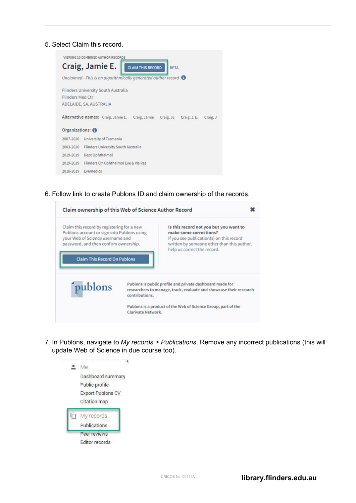5. Select Claim this record.

 $\bar{r}$ 



6. Follow link to create Publons ID and claim ownership of the records.

|                                                                                                                                                                       | Claim ownership of this Web of Science Author Record                                                                                                                                      |
|-----------------------------------------------------------------------------------------------------------------------------------------------------------------------|-------------------------------------------------------------------------------------------------------------------------------------------------------------------------------------------|
| Claim this record by registering for a new<br>Publons account or sign into Publons using<br>your Web of Science username and<br>password, and then confirm ownership. | Is this record not you but you want to<br>make some corrections?<br>If you see publication(s) on this record<br>written by someone other than this author,<br>help us correct the record. |
| <b>Claim This Record On Publons</b>                                                                                                                                   |                                                                                                                                                                                           |

7. In Publons, navigate to *My records > Publications*. Remove any incorrect publications (this will update Web of Science in due course too).

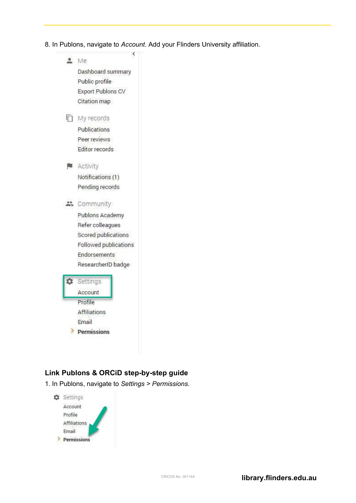8. In Publons, navigate to *Account*. Add your Flinders University affiliation.



# **Link Publons & ORCiD step-by-step guide**

1. In Publons, navigate to *Settings > Permissions*.